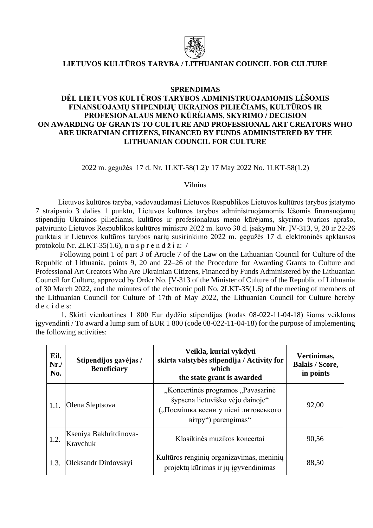

## **LIETUVOS KULTŪROS TARYBA / LITHUANIAN COUNCIL FOR CULTURE**

## **SPRENDIMAS**

## **DĖL LIETUVOS KULTŪROS TARYBOS ADMINISTRUOJAMOMIS LĖŠOMIS FINANSUOJAMŲ STIPENDIJŲ UKRAINOS PILIEČIAMS, KULTŪROS IR PROFESIONALAUS MENO KŪRĖJAMS, SKYRIMO / DECISION ON AWARDING OF GRANTS TO CULTURE AND PROFESSIONAL ART CREATORS WHO ARE UKRAINIAN CITIZENS, FINANCED BY FUNDS ADMINISTERED BY THE LITHUANIAN COUNCIL FOR CULTURE**

2022 m. gegužės 17 d. Nr. 1LKT-58(1.2)/ 17 May 2022 No. 1LKT-58(1.2)

Vilnius

Lietuvos kultūros taryba, vadovaudamasi Lietuvos Respublikos Lietuvos kultūros tarybos įstatymo 7 straipsnio 3 dalies 1 punktu, Lietuvos kultūros tarybos administruojamomis lėšomis finansuojamų stipendijų Ukrainos piliečiams, kultūros ir profesionalaus meno kūrėjams, skyrimo tvarkos aprašo, patvirtinto Lietuvos Respublikos kultūros ministro 2022 m. kovo 30 d. įsakymu Nr. ĮV-313, 9, 20 ir 22-26 punktais ir Lietuvos kultūros tarybos narių susirinkimo 2022 m. gegužės 17 d. elektroninės apklausos protokolu Nr. 2LKT-35(1.6), n u s p r e n d ž i a: /

Following point 1 of part 3 of Article 7 of the Law on the Lithuanian Council for Culture of the Republic of Lithuania, points 9, 20 and 22–26 of the Procedure for Awarding Grants to Culture and Professional Art Creators Who Are Ukrainian Citizens, Financed by Funds Administered by the Lithuanian Council for Culture, approved by Order No. ĮV-313 of the Minister of Culture of the Republic of Lithuania of 30 March 2022, and the minutes of the electronic poll No. 2LKT-35(1.6) of the meeting of members of the Lithuanian Council for Culture of 17th of May 2022, the Lithuanian Council for Culture hereby d e c i d e s:

1. Skirti vienkartines 1 800 Eur dydžio stipendijas (kodas 08-022-11-04-18) šioms veikloms įgyvendinti / To award a lump sum of EUR 1 800 (code 08-022-11-04-18) for the purpose of implementing the following activities:

| Eil.<br>Nr.<br>No. | Stipendijos gavėjas /<br><b>Beneficiary</b> | Veikla, kuriai vykdyti<br>skirta valstybės stipendija / Activity for<br>which<br>the state grant is awarded                           | Vertinimas,<br><b>Balais / Score,</b><br>in points |
|--------------------|---------------------------------------------|---------------------------------------------------------------------------------------------------------------------------------------|----------------------------------------------------|
| 1.1.               | Olena Sleptsova                             | "Koncertinės programos "Pavasarinė<br>šypsena lietuviško vėjo dainoje"<br>("Посмішка весни у пісні литовського<br>Birpy") parengimas" | 92,00                                              |
| 1.2.               | Kseniya Bakhritdinova-<br>Kravchuk          | Klasikinės muzikos koncertai                                                                                                          | 90,56                                              |
| 1.3.               | Oleksandr Dirdovskyi                        | Kultūros renginių organizavimas, meninių<br>projektų kūrimas ir jų įgyvendinimas                                                      | 88,50                                              |